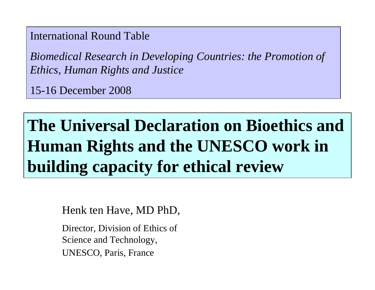International Round Table

*Biomedical Research in Developing Countries: the Promotion of Ethics, Human Rights and Justice*

15-16 December 2008

# **The Universal Declaration on Bioethics and Human Rights and the UNESCO work in building capacity for ethical review**

Henk ten Have, MD PhD,

Director, Division of Ethics of Science and Technology, UNESCO, Paris, France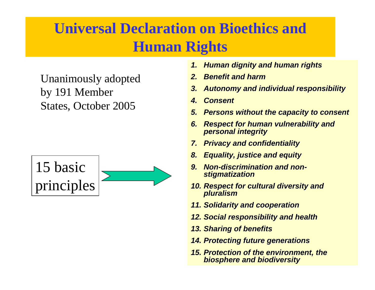# **Universal Declaration on Bioethics and Human Rights**

Unanimously adopted by 191 Member States, October 2005



- *1. Human dignity and human rights Human dignity and human rights*
- *2. Benefit and harm*
- *3. Autonomy and individual responsibility Autonomy and individual responsibility*
- *4.Consent Consent*
- **5. Persons without the capacity to consent**
- *6. Respect for human vulnerability and Respect for human vulnerability and personal integrity personal integrity*
- *7. Privacy and confidentiality Privacy and confidentiality*
- *8. Equality, justice and equity Equality, justice and equity*
- *9. Non-discrimination and non discrimination and nonstigmatization stigmatization*
- **10. Respect for cultural diversity and** *pluralism*
- *11. Solidarity and cooperation Solidarity and cooperation*
- *12. Social responsibility and health Social responsibility and health*
- **13. Sharing of benefits**
- *14. Protecting future generations Protecting future generations*
- *15. Protection of the environment, the Protection of the environment, the biosphere and biodiversity biosphere and biodiversity*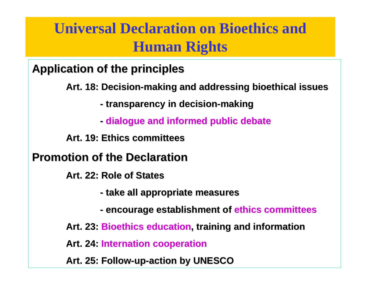# **Universal Declaration on Bioethics and Human Rights**

**Application Application of the principles principles**

**Art. 18: Art. 18: Decision Decision -making and addressing addressing bioethical bioethical issues**

**- transparency transparency in decision decision -making**

**- dialogue dialogue and informed informed public debate**

**Art. 19: Art. 19: Ethics committees committees**

**Promotion of the Declaration** 

**Art. 22: Art. 22: Role of States**

- **- take all appropriate appropriate measures measures**
- **- encourage encourage establishment of establishment of ethics committees committees**

**Art. 23: Art. 23: Bioethics Bioethics education education, training and , training and information information**

**Art. 24: Art. 24: Internation Internation cooperation cooperation**

**Art. 25: Art. 25: Follow -up -action by UNESCO**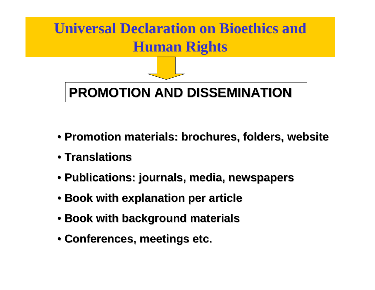

- **Promotion Promotion materials materials: brochures, folders, website : brochures, folders, website**
- **Translations Translations**
- **Publications Publications: journals journals, media, , media, newspapers newspapers**
- **Book with explanation explanation per article article**
- **Book with background background materials materials**
- **Conferences, meetings etc. Conferences, meetings etc.**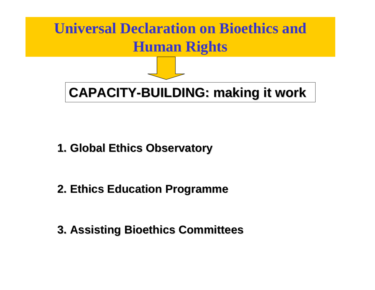

- **1. Global Ethics Observatory**
- **2. Ethics Education Education Programme Programme**
- **3. Assisting Assisting Bioethics Bioethics Committees Committees**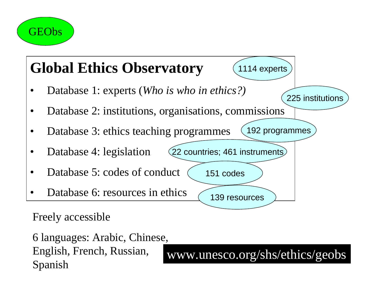



English, French, Russian, English, French, Russian, www.unesco.org/shs/ethics/geobs Spanish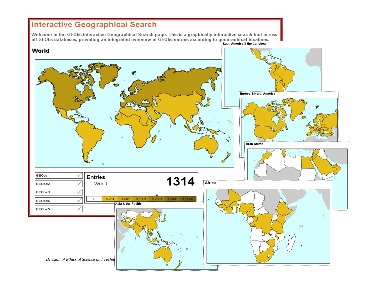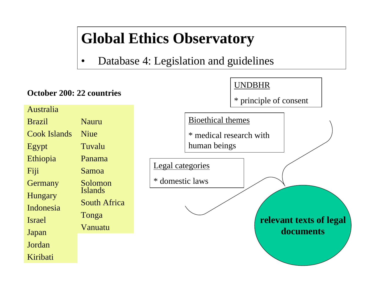# **Global Ethics Observatory**

•Database 4: Legislation and guidelines

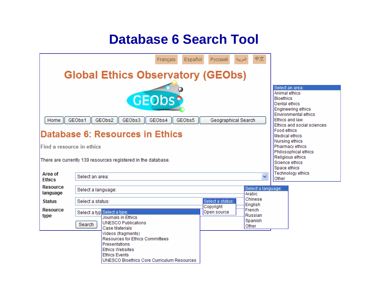## **Database 6 Search Tool**

|                                                                                                                                                                                                                                                                             |                  | Español<br>Français                                                                                                                                                           | <b>Русский</b>                | 中文<br>العربية                         |                                                                                                                                                                                                                                                                                                                                       |  |
|-----------------------------------------------------------------------------------------------------------------------------------------------------------------------------------------------------------------------------------------------------------------------------|------------------|-------------------------------------------------------------------------------------------------------------------------------------------------------------------------------|-------------------------------|---------------------------------------|---------------------------------------------------------------------------------------------------------------------------------------------------------------------------------------------------------------------------------------------------------------------------------------------------------------------------------------|--|
|                                                                                                                                                                                                                                                                             |                  |                                                                                                                                                                               |                               |                                       |                                                                                                                                                                                                                                                                                                                                       |  |
| <b>Global Ethics Observatory (GEObs)</b><br><b>GEODS?</b><br>GEObs1<br>GEObs2<br>GEObs3<br>GEObs4<br>GEObs5<br>Geographical Search<br>Home<br>Database 6: Resources in Ethics<br>Find a resource in ethics<br>There are currently 139 resources registered in the database. |                  |                                                                                                                                                                               |                               |                                       | Select an area:<br>Animal ethics<br><b>Bioethics</b><br>Dental ethics<br>Engineering ethics<br><b>Environmental ethics</b><br>Ethics and law<br>Ethics and social sciences<br>Food ethics<br><b>Medical ethics</b><br>Nursing ethics<br>Pharmacy ethics<br>Philosophical ethics<br>Religious ethics<br>Science ethics<br>Space ethics |  |
| Area of<br><b>Ethics</b>                                                                                                                                                                                                                                                    | Select an area:  |                                                                                                                                                                               |                               | v                                     | Technology ethics<br>Other                                                                                                                                                                                                                                                                                                            |  |
| Resource<br>language                                                                                                                                                                                                                                                        |                  | Select a language:                                                                                                                                                            | Select a language:<br>Arabic  |                                       |                                                                                                                                                                                                                                                                                                                                       |  |
| <b>Status</b>                                                                                                                                                                                                                                                               | Select a status: |                                                                                                                                                                               | Select a status:<br>Copyright | Chinese<br>English                    |                                                                                                                                                                                                                                                                                                                                       |  |
| <b>Resource</b><br>type                                                                                                                                                                                                                                                     | Search           | Select a typ Select a type:<br>Journals in Ethics<br><b>UNESCO Publications</b><br>Case Materials                                                                             | Open source                   | French<br>Russian<br>Spanish<br>Other |                                                                                                                                                                                                                                                                                                                                       |  |
|                                                                                                                                                                                                                                                                             |                  | Videos (fragments)<br><b>Resources for Ethics Committees</b><br>Presentations<br><b>Ethics Websites</b><br><b>Ethics Events</b><br>UNESCO Bioethics Core Curriculum Resources |                               |                                       |                                                                                                                                                                                                                                                                                                                                       |  |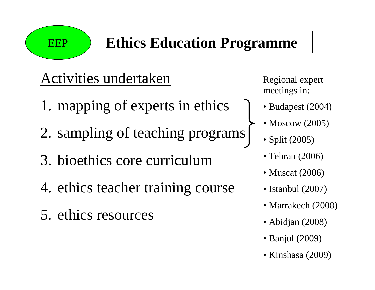EEP

# **Ethics Education Programme**

# Activities undertaken

- 1. mapping of experts in ethics
- 2. sampling of teaching programs
- 3. bioethics core curriculum
- 4. ethics teacher training course
- 5. ethics resources

Regional expert meetings in:

- Budapest (2004)
- Moscow (2005)
	- Split (2005)
	- Tehran (2006)
	- Muscat (2006)
	- Istanbul (2007)
	- Marrakech (2008)
	- Abidjan (2008)
	- Banjul (2009)
	- Kinshasa (2009)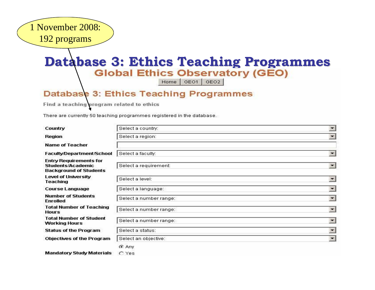

# **Database 3: Ethics Teaching Programmes**<br>**Global Ethics Observatory (GEO)**

Home | GEO1 | GEO2

#### **Database 3: Ethics Teaching Programmes**

Find a teaching program related to ethics

There are currently 50 teaching programmes registered in the database.

| Country                                                                             | Select a country:      | $\overline{\phantom{a}}$ |
|-------------------------------------------------------------------------------------|------------------------|--------------------------|
| <b>Region</b>                                                                       | Select a region:       | $\blacktriangledown$     |
| <b>Name of Teacher</b>                                                              |                        |                          |
| Faculty/Department/School                                                           | Select a faculty:      | $\blacksquare$           |
| <b>Entry Requirements for</b><br>Students/Academic<br><b>Background of Students</b> | Select a requirement:  | $\overline{\phantom{a}}$ |
| Level of University<br><b>Teaching</b>                                              | Select a level:        | $\overline{\phantom{a}}$ |
| <b>Course Language</b>                                                              | Select a language:     | $\overline{\phantom{a}}$ |
| <b>Number of Students</b><br><b>Enrolled</b>                                        | Select a number range: | $\overline{\phantom{a}}$ |
| <b>Total Number of Teaching</b><br><b>Hours</b>                                     | Select a number range: | $\overline{\phantom{a}}$ |
| <b>Total Number of Student</b><br><b>Working Hours</b>                              | Select a number range: | $\overline{\phantom{a}}$ |
| <b>Status of the Program</b>                                                        | Select a status:       | $\overline{\phantom{a}}$ |
| <b>Objectives of the Program</b>                                                    | Select an objective:   | $\overline{\phantom{a}}$ |
|                                                                                     | C Any                  |                          |
| <b>Mandatory Study Materials</b>                                                    | $C$ Yes                |                          |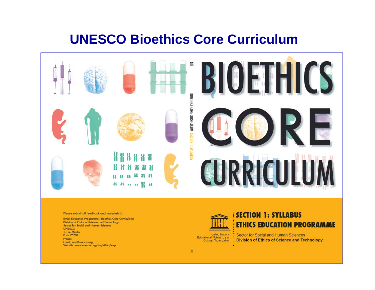### **UNESCO Bioethics Core Curriculum**



#### Please submit all feedback and materials to:

**Ethics Education Programme (Bioethics Core Curriculum)** Division of Ethics of Science and Technology Sector for Social and Human Sciences **UNESCO** 1, rue Miollis Paris 75732 France Email: eep@unesco.org Website: www.unesco.org/shs/ethics/eep



#### **SECTION 1: SYLLABUS ETHICS EDUCATION PROGRAMME**

**United Nations Sector for Social and Human Sciences** Educational, Scientific and **Division of Ethics of Science and Technology** Cultural Organization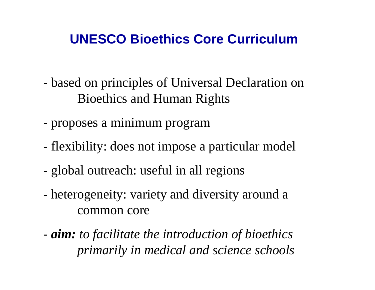## **UNESCO Bioethics Core Curriculum**

- based on principles of Universal Declaration on Bioethics and Human Rights
- proposes a minimum program
- flexibility: does not impose a particular model
- global outreach: useful in all regions
- heterogeneity: variety and diversity around <sup>a</sup> common core
- *aim: to facilitate the introduction of bioethics primarily in medical and science schools*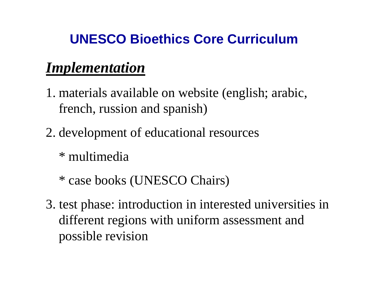# **UNESCO Bioethics Core Curriculum**

# *Implementation*

- 1. materials available on website (english; arabic, french, russion and spanish)
- 2. development of educational resources
	- \* multimedia
	- \* case books (UNESCO Chairs)
- 3. test phase: introduction in interested universities in different regions with uniform assessment and possible revision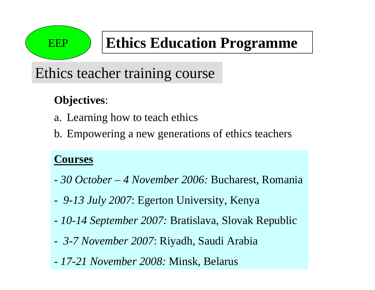# EEP

# **Ethics Education Programme**

# Ethics teacher training course

## **Objectives**:

- a. Learning how to teach ethics
- b. Empowering a new generations of ethics teachers

### **Courses**

- *30 October – 4 November 2006:* Bucharest, Romania
- *9-13 July 2007*: Egerton University, Kenya
- *10-14 September 2007:* Bratislava, Slovak Republic
- *3-7 November 2007*: Riyadh, Saudi Arabia
- *17-21 November 2008:* Minsk, Belarus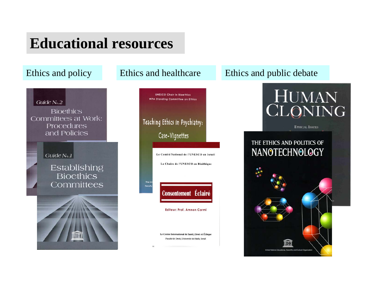# **Educational resources**

#### Guide No.2

**Bioethics** Committees at Work: Procedures and Policies

#### Guide N<sub>o.1</sub>

#### Establishing **Bioethics** Committees





Le Centre International de Santé, Droit et Éthique Faculté de Droit, Université de Haïfa, Israël

#### Ethics and policy Ethics and healthcare Ethics and public debate



**ETHICAL ISSUES** 

#### THE ETHICS AND POLITICS OF NANOTECHNOLOGY

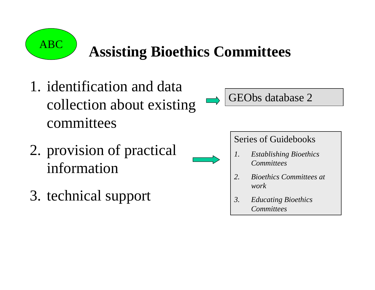

# **Assisting Bioethics Committees**

- 1. identification and data collection about existing committees
- 2. provision of practical information
- 3. technical support

GEObs database 2

### Series of Guidebooks

- *1. Establishing Bioethics Committees*
- *2. Bioethics Committees at work*
- *3. Educating Bioethics Committees*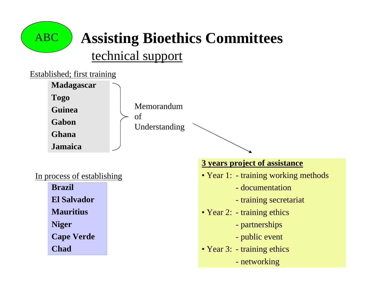

# **Assisting Bioethics Committees**

### technical support



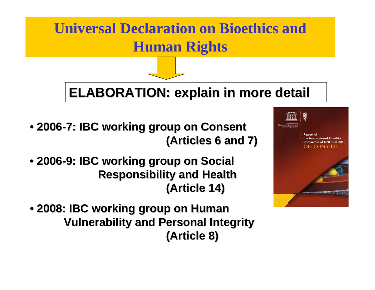# **Universal Declaration on Bioethics and Human Rights**

# **ELABORATION ELABORATION: explain explain in more detail in more detail**

- **2006 -7: IBC working working group on Consent Consent (Articles Articles 6 and 7) 6 and 7)**
- **2006 -9: IBC working working group on Social Responsibility Responsibility and Health (Article Article 14)**
- **2008: IBC working group on Human 2008: IBC working group on Human Vulnerability and Personal Integrity (Article 8) (Article 8)**